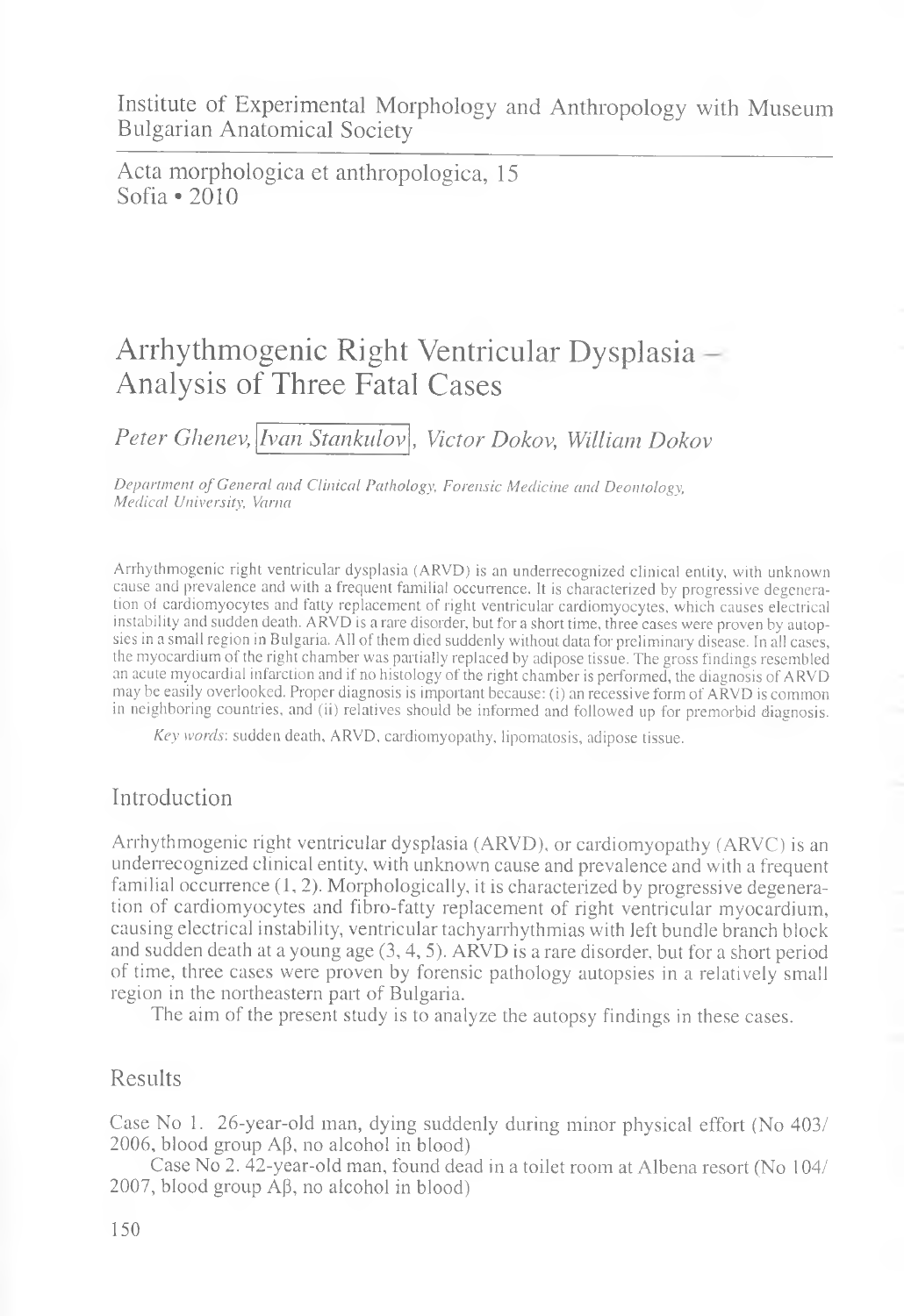Institute of Experimental Morphology and Anthropology with Museum Bulgarian Anatomical Society

Acta morphologica et anthropologica, 15 Sofia \*2010

# Arrhythmogenic Right Ventricular Dysplasia Analysis of Three Fatal Cases

*Peter Ghenev, Ivan Stankulov , Victor Dokov, William Dokov*

*Department of General and Clinical Pathology, Forensic Medicine and Deontology, Medical University, Varna*

Arrhythmogenic right ventricular dysplasia (ARVD) is an underrecognized clinical entity, with unknown cause and prevalence and with a frequent familial occurrence. It is characterized by progressive degeneration ol cardiomyocytes and fatty replacement of right ventricular cardiomyocytes, which causes electrical instability and sudden death. ARVD is a rare disorder, but for a short time, three cases were proven by autopsies in a small region in Bulgaria. All of them died suddenly without data for preliminary disease. In all cases, the myocardium of the right chamber was partially replaced by adipose tissue. The gross findings resembled an acute myocardial infarction and if no histology of the right chamber is performed, the diagnosis of ARVD may be easily overlooked. Proper diagnosis is important because: (i) an recessive form of ARVD is common in neighboring countries, and (ii) relatives should be informed and followed up for premorbid diagnosis.

*Key words',* sudden death, ARVD, cardiomyopathy, lipomatosis, adipose tissue.

# Introduction

Arrhythmogenic right ventricular dysplasia (ARVD), or cardiomyopathy (ARVC) is an underrecognized clinical entity, with unknown cause and prevalence and with a frequent familial occurrence (1, 2). Morphologically, it is characterized by progressive degeneration of cardiomyocytes and fibro-fatty replacement of right ventricular myocardium, causing electrical instability, ventricular tachyarrhythmias with left bundle branch block and sudden death at a young age (3, 4, 5). ARVD is a rare disorder, but for a short period of time, three cases were proven by forensic pathology autopsies in a relatively small region in the northeastern part of Bulgaria.

The aim of the present study is to analyze the autopsy findings in these cases.

### Results

Case No 1. 26-year-old man, dying suddenly during minor physical effort (No 403/ 2006, blood group  $\mathcal{AB}$ , no alcohol in blood)

Case No 2. 42-year-old man, found dead in a toilet room at Albena resort (No 104/ 2007, blood group  $A\beta$ , no alcohol in blood)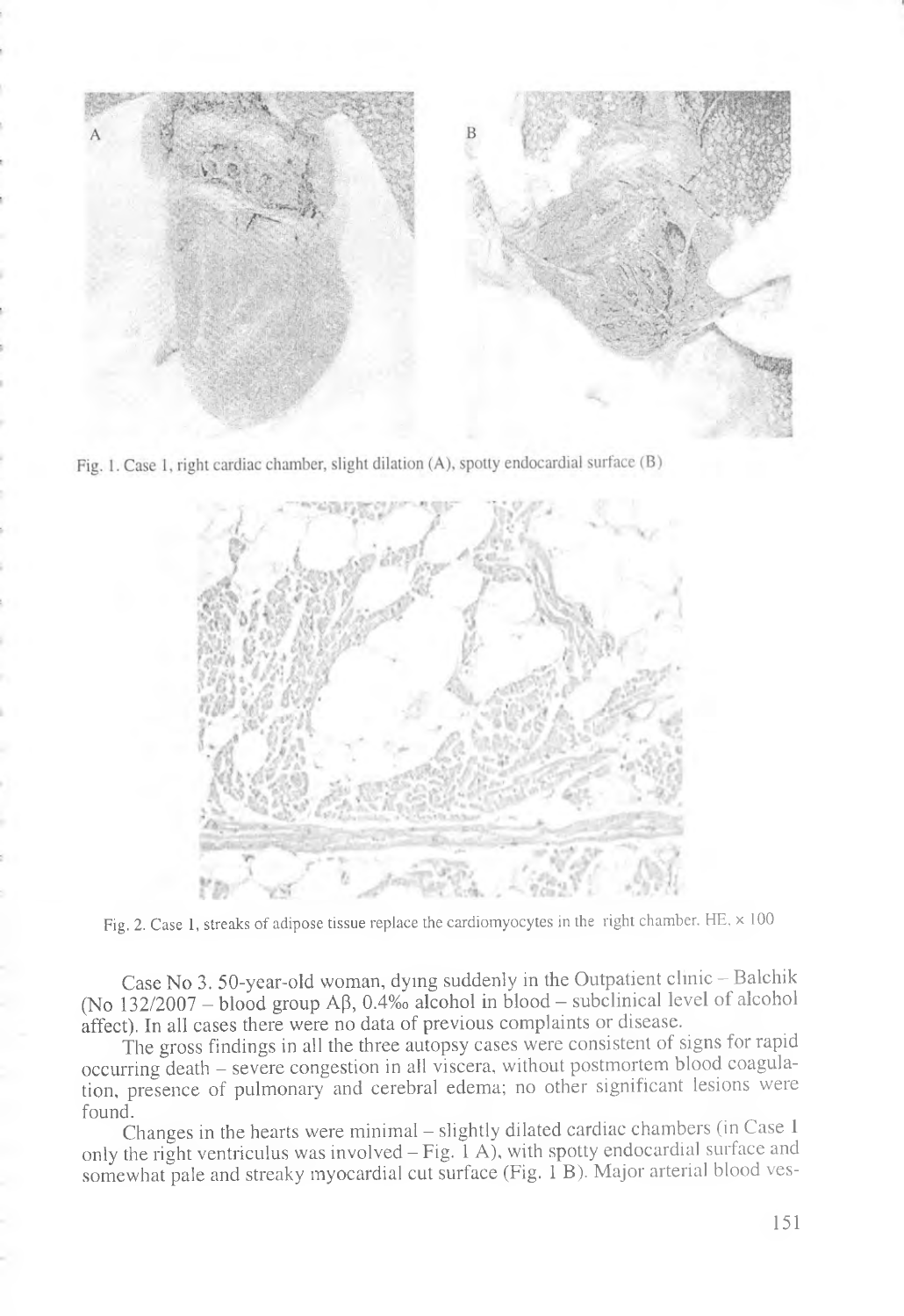

Fig. 1. Case 1, right cardiac chamber, slight dilation (A), spotty endocardial surface (B)



Fig. 2. Case 1, streaks of adipose tissue replace the cardiomyocytes in the right chamber. HE,  $\times$  100

Case No 3. 50-year-old woman, dying suddenly in the Outpatient clinic - Balchik (No  $132/2007$  – blood group A $\beta$ , 0.4‰ alcohol in blood – subclinical level of alcohol affect). In all cases there were no data of previous complaints or disease.

The gross findings in all the three autopsy cases were consistent of signs for rapid occurring death - severe congestion in all viscera, without postmortem blood coagulation, presence of pulmonary and cerebral edema; no other significant lesions were found. The contract of the contract of the contract of the contract of the contract of the contract of the contract of the contract of the contract of the contract of the contract of the contract of the contract of the con

Changes in the hearts were minimal — slightly dilated cardiac chambers (in Case 1 only the right ventriculus was involved  $-Fig.$  I A), with spotty endocardial surface and somewhat pale and streaky myocardial cut surface (Fig. 1 B). Major arterial blood ves-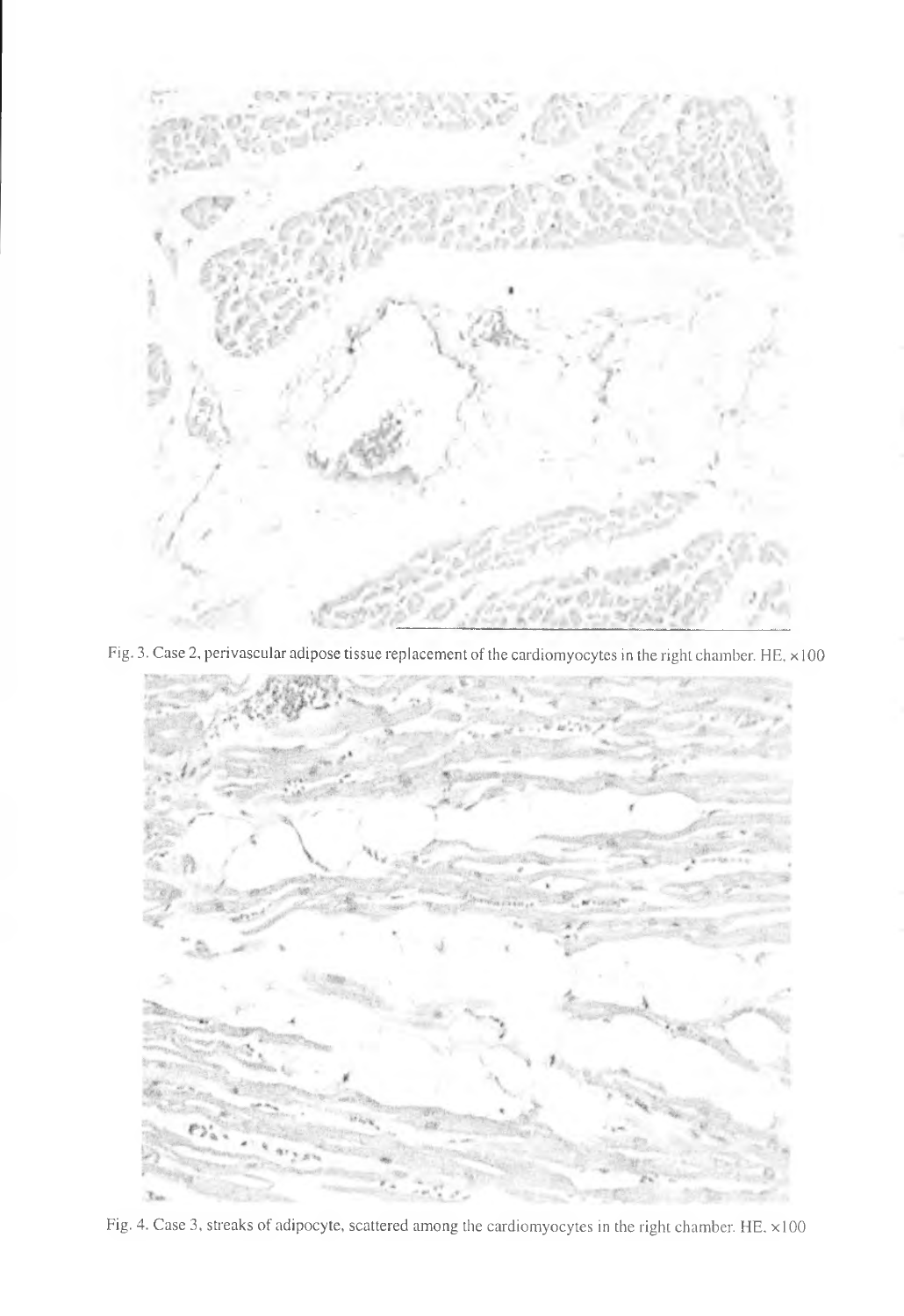

Fig. 3. Case 2, perivascular adipose tissue replacement of the cardiomyocytes in the right chamber. HE,  $\times$ 100



Fig. 4. Case 3, streaks of adipocyte, scattered among the cardiomyocytes in the right chamber. HE. xlOO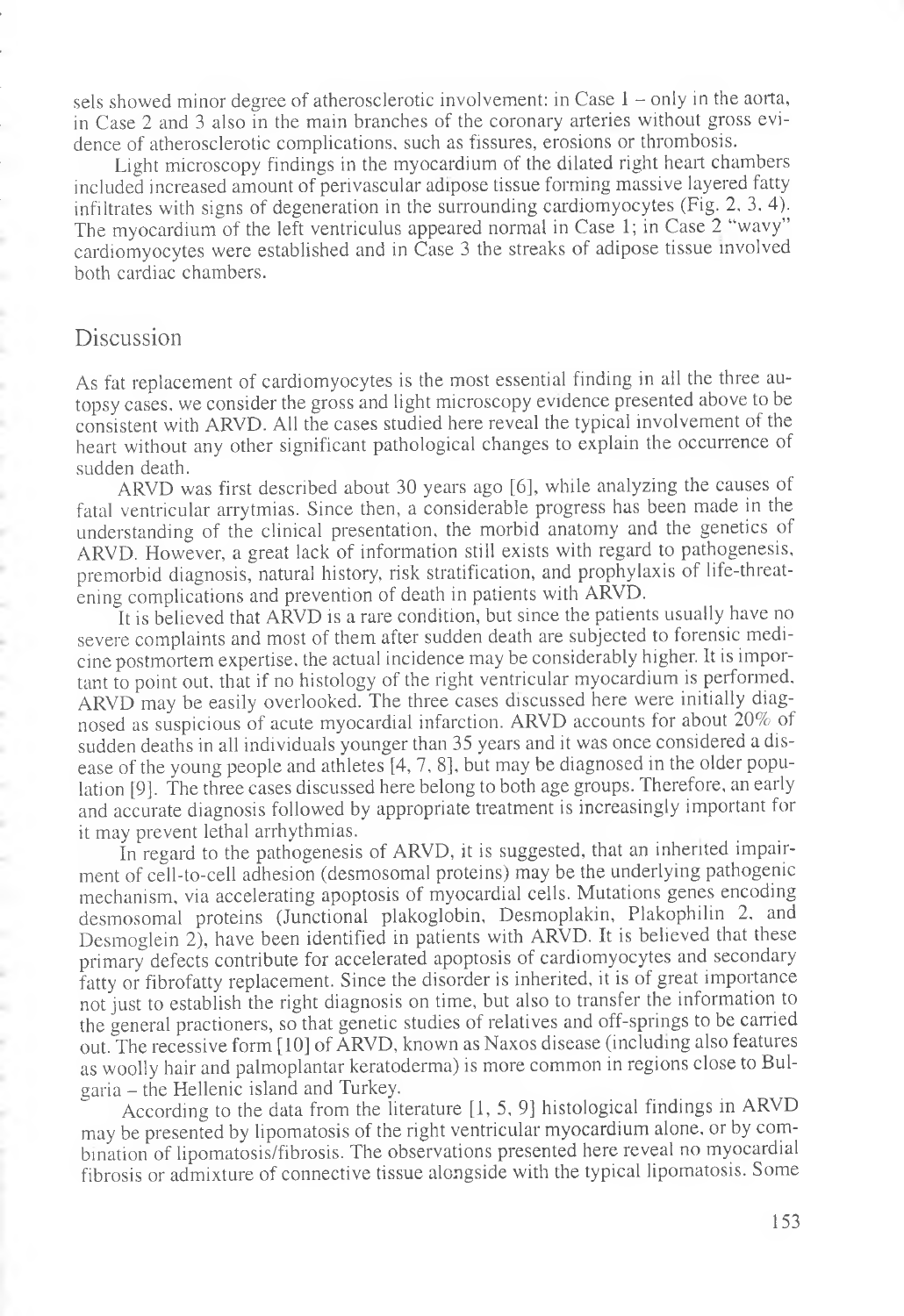sels showed minor degree of atherosclerotic involvement: in Case  $1 -$  only in the aorta, in Case 2 and 3 also in the main branches of the coronary arteries without gross evidence of atherosclerotic complications, such as fissures, erosions or thrombosis.

Light microscopy findings in the myocardium of the dilated right heart chambers included increased amount of perivascular adipose tissue forming massive layered fatty infiltrates with signs of degeneration in the surrounding cardiomyocytes (Fig. 2, 3. 4). The myocardium of the left ventriculus appeared normal in Case 1; in Case 2 "wavy" cardiomyocytes were established and in Case 3 the streaks of adipose tissue involved both cardiac chambers.

## Discussion

As fat replacement of cardiomyocytes is the most essential finding in all the three autopsy cases, we consider the gross and light microscopy evidence presented above to be consistent with ARVD. All the cases studied here reveal the typical involvement of the heart without any other significant pathological changes to explain the occurrence of sudden death.

ARVD was first described about 30 years ago [6], while analyzing the causes of fatal ventricular arrytmias. Since then, a considerable progress has been made in the understanding of the clinical presentation, the morbid anatomy and the genetics of ARVD. However, a great lack of information still exists with regard to pathogenesis, premorbid diagnosis, natural history, risk stratification, and prophylaxis of life-threatening complications and prevention of death in patients with ARVD.

It is believed that ARVD is a rare condition, but since the patients usually have no severe complaints and most of them after sudden death are subjected to forensic medicine postmortem expertise, the actual incidence may be considerably higher. It is important to point out. that if no histology of the right ventricular myocardium is performed. ARVD may be easily overlooked. The three cases discussed here were initially diagnosed as suspicious of acute myocardial infarction. ARVD accounts for about 20% of sudden deaths in all individuals younger than 35 years and it was once considered a disease of the young people and athletes [4, 7, 8], but may be diagnosed in the older population [9]. The three cases discussed here belong to both age groups. Therefore, an early and accurate diagnosis followed by appropriate treatment is increasingly important for it may prevent lethal arrhythmias.

In regard to the pathogenesis of ARVD, it is suggested, that an inherited impairment of cell-to-cell adhesion (desmosomal proteins) may be the underlying pathogenic mechanism, via accelerating apoptosis of myocardial cells. Mutations genes encoding desmosomal proteins (Junctional plakoglobin, Desmoplakin, Plakophilin 2, and Desmoglein 2), have been identified in patients with ARVD. It is believed that these primary defects contribute for accelerated apoptosis of cardiomyocytes and secondary fatty or fibrofatty replacement. Since the disorder is inherited, it is of great importance not just to establish the right diagnosis on time, but also to transfer the information to the general practioners, so that genetic studies of relatives and off-springs to be carried out. The recessive form [10] of ARVD, known as Naxos disease (including also features as woolly hair and palmoplantar keratoderma) is more common in regions close to Bulgaria - the Hellenic island and Turkey.

According to the data from the literature [1, 5, 9] histological findings in ARVD may be presented by lipomatosis of the right ventricular myocardium alone, or by combination of lipomatosis/fibrosis. The observations presented here reveal no myocardial fibrosis or admixture of connective tissue alongside with the typical lipomatosis. Some